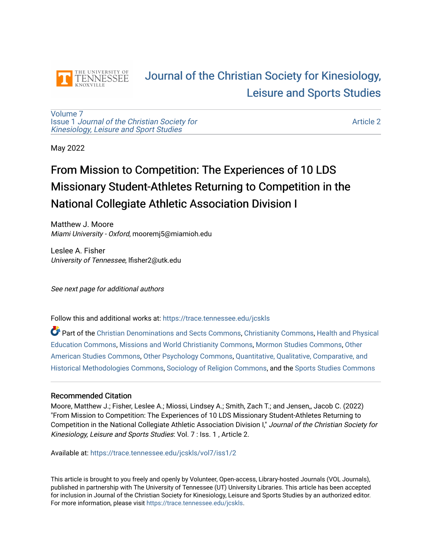

## [Journal of the Christian Society for Kinesiology,](https://trace.tennessee.edu/jcskls)  [Leisure and Sports Studies](https://trace.tennessee.edu/jcskls)

[Volume 7](https://trace.tennessee.edu/jcskls/vol7) Issue 1 [Journal of the Christian Society for](https://trace.tennessee.edu/jcskls/vol7/iss1) [Kinesiology, Leisure and Sport Studies](https://trace.tennessee.edu/jcskls/vol7/iss1) 

[Article 2](https://trace.tennessee.edu/jcskls/vol7/iss1/2) 

May 2022

# From Mission to Competition: The Experiences of 10 LDS Missionary Student-Athletes Returning to Competition in the National Collegiate Athletic Association Division I

Matthew J. Moore Miami University - Oxford, mooremj5@miamioh.edu

Leslee A. Fisher University of Tennessee, lfisher2@utk.edu

See next page for additional authors

Follow this and additional works at: [https://trace.tennessee.edu/jcskls](https://trace.tennessee.edu/jcskls?utm_source=trace.tennessee.edu%2Fjcskls%2Fvol7%2Fiss1%2F2&utm_medium=PDF&utm_campaign=PDFCoverPages) 

Part of the [Christian Denominations and Sects Commons,](https://network.bepress.com/hgg/discipline/1184?utm_source=trace.tennessee.edu%2Fjcskls%2Fvol7%2Fiss1%2F2&utm_medium=PDF&utm_campaign=PDFCoverPages) [Christianity Commons,](https://network.bepress.com/hgg/discipline/1181?utm_source=trace.tennessee.edu%2Fjcskls%2Fvol7%2Fiss1%2F2&utm_medium=PDF&utm_campaign=PDFCoverPages) [Health and Physical](https://network.bepress.com/hgg/discipline/1327?utm_source=trace.tennessee.edu%2Fjcskls%2Fvol7%2Fiss1%2F2&utm_medium=PDF&utm_campaign=PDFCoverPages)  [Education Commons,](https://network.bepress.com/hgg/discipline/1327?utm_source=trace.tennessee.edu%2Fjcskls%2Fvol7%2Fiss1%2F2&utm_medium=PDF&utm_campaign=PDFCoverPages) [Missions and World Christianity Commons](https://network.bepress.com/hgg/discipline/1187?utm_source=trace.tennessee.edu%2Fjcskls%2Fvol7%2Fiss1%2F2&utm_medium=PDF&utm_campaign=PDFCoverPages), [Mormon Studies Commons,](https://network.bepress.com/hgg/discipline/1360?utm_source=trace.tennessee.edu%2Fjcskls%2Fvol7%2Fiss1%2F2&utm_medium=PDF&utm_campaign=PDFCoverPages) [Other](https://network.bepress.com/hgg/discipline/445?utm_source=trace.tennessee.edu%2Fjcskls%2Fvol7%2Fiss1%2F2&utm_medium=PDF&utm_campaign=PDFCoverPages) [American Studies Commons,](https://network.bepress.com/hgg/discipline/445?utm_source=trace.tennessee.edu%2Fjcskls%2Fvol7%2Fiss1%2F2&utm_medium=PDF&utm_campaign=PDFCoverPages) [Other Psychology Commons,](https://network.bepress.com/hgg/discipline/415?utm_source=trace.tennessee.edu%2Fjcskls%2Fvol7%2Fiss1%2F2&utm_medium=PDF&utm_campaign=PDFCoverPages) [Quantitative, Qualitative, Comparative, and](https://network.bepress.com/hgg/discipline/423?utm_source=trace.tennessee.edu%2Fjcskls%2Fvol7%2Fiss1%2F2&utm_medium=PDF&utm_campaign=PDFCoverPages) [Historical Methodologies Commons](https://network.bepress.com/hgg/discipline/423?utm_source=trace.tennessee.edu%2Fjcskls%2Fvol7%2Fiss1%2F2&utm_medium=PDF&utm_campaign=PDFCoverPages), [Sociology of Religion Commons](https://network.bepress.com/hgg/discipline/1365?utm_source=trace.tennessee.edu%2Fjcskls%2Fvol7%2Fiss1%2F2&utm_medium=PDF&utm_campaign=PDFCoverPages), and the [Sports Studies Commons](https://network.bepress.com/hgg/discipline/1198?utm_source=trace.tennessee.edu%2Fjcskls%2Fvol7%2Fiss1%2F2&utm_medium=PDF&utm_campaign=PDFCoverPages) 

#### Recommended Citation

Moore, Matthew J.; Fisher, Leslee A.; Miossi, Lindsey A.; Smith, Zach T.; and Jensen,, Jacob C. (2022) "From Mission to Competition: The Experiences of 10 LDS Missionary Student-Athletes Returning to Competition in the National Collegiate Athletic Association Division I," Journal of the Christian Society for Kinesiology, Leisure and Sports Studies: Vol. 7 : Iss. 1 , Article 2.

Available at: [https://trace.tennessee.edu/jcskls/vol7/iss1/2](https://trace.tennessee.edu/jcskls/vol7/iss1/2?utm_source=trace.tennessee.edu%2Fjcskls%2Fvol7%2Fiss1%2F2&utm_medium=PDF&utm_campaign=PDFCoverPages) 

This article is brought to you freely and openly by Volunteer, Open-access, Library-hosted Journals (VOL Journals), published in partnership with The University of Tennessee (UT) University Libraries. This article has been accepted for inclusion in Journal of the Christian Society for Kinesiology, Leisure and Sports Studies by an authorized editor. For more information, please visit <https://trace.tennessee.edu/jcskls>.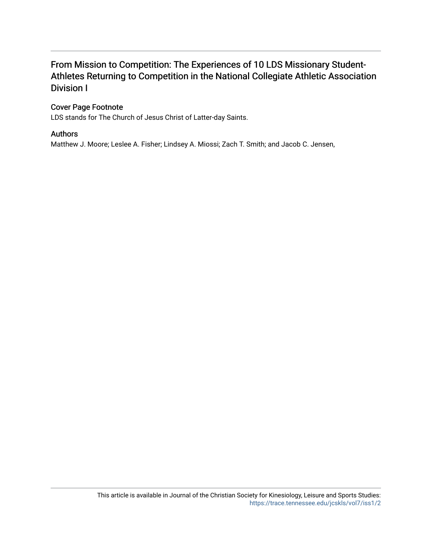## From Mission to Competition: The Experiences of 10 LDS Missionary Student-Athletes Returning to Competition in the National Collegiate Athletic Association Division I

## Cover Page Footnote

LDS stands for The Church of Jesus Christ of Latter-day Saints.

## Authors

Matthew J. Moore; Leslee A. Fisher; Lindsey A. Miossi; Zach T. Smith; and Jacob C. Jensen,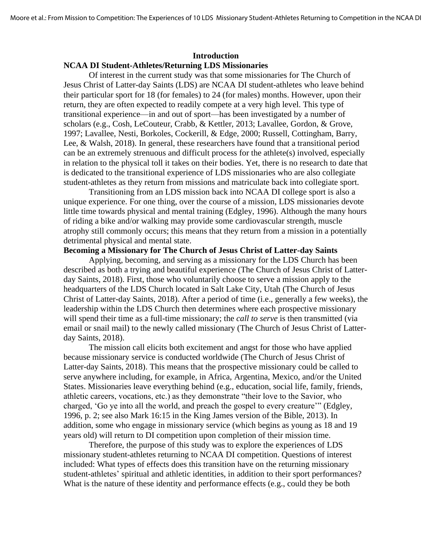## **Introduction NCAA DI Student-Athletes/Returning LDS Missionaries**

Of interest in the current study was that some missionaries for The Church of Jesus Christ of Latter-day Saints (LDS) are NCAA DI student-athletes who leave behind their particular sport for 18 (for females) to 24 (for males) months. However, upon their return, they are often expected to readily compete at a very high level. This type of transitional experience—in and out of sport—has been investigated by a number of scholars (e.g., Cosh, LeCouteur, Crabb, & Kettler, 2013; Lavallee, Gordon, & Grove, 1997; Lavallee, Nesti, Borkoles, Cockerill, & Edge, 2000; Russell, Cottingham, Barry, Lee, & Walsh, 2018). In general, these researchers have found that a transitional period can be an extremely strenuous and difficult process for the athlete(s) involved, especially in relation to the physical toll it takes on their bodies. Yet, there is no research to date that is dedicated to the transitional experience of LDS missionaries who are also collegiate student-athletes as they return from missions and matriculate back into collegiate sport.

Transitioning from an LDS mission back into NCAA DI college sport is also a unique experience. For one thing, over the course of a mission, LDS missionaries devote little time towards physical and mental training (Edgley, 1996). Although the many hours of riding a bike and/or walking may provide some cardiovascular strength, muscle atrophy still commonly occurs; this means that they return from a mission in a potentially detrimental physical and mental state.

#### **Becoming a Missionary for The Church of Jesus Christ of Latter-day Saints**

Applying, becoming, and serving as a missionary for the LDS Church has been described as both a trying and beautiful experience (The Church of Jesus Christ of Latterday Saints, 2018). First, those who voluntarily choose to serve a mission apply to the headquarters of the LDS Church located in Salt Lake City, Utah (The Church of Jesus Christ of Latter-day Saints, 2018). After a period of time (i.e., generally a few weeks), the leadership within the LDS Church then determines where each prospective missionary will spend their time as a full-time missionary; the *call to serve* is then transmitted (via email or snail mail) to the newly called missionary (The Church of Jesus Christ of Latterday Saints, 2018).

The mission call elicits both excitement and angst for those who have applied because missionary service is conducted worldwide (The Church of Jesus Christ of Latter-day Saints, 2018). This means that the prospective missionary could be called to serve anywhere including, for example, in Africa, Argentina, Mexico, and/or the United States. Missionaries leave everything behind (e.g., education, social life, family, friends, athletic careers, vocations, etc.) as they demonstrate "their love to the Savior, who charged, 'Go ye into all the world, and preach the gospel to every creature'" (Edgley, 1996, p. 2; see also Mark 16:15 in the King James version of the Bible, 2013). In addition, some who engage in missionary service (which begins as young as 18 and 19 years old) will return to DI competition upon completion of their mission time.

Therefore, the purpose of this study was to explore the experiences of LDS missionary student-athletes returning to NCAA DI competition. Questions of interest included: What types of effects does this transition have on the returning missionary student-athletes' spiritual and athletic identities, in addition to their sport performances? What is the nature of these identity and performance effects (e.g., could they be both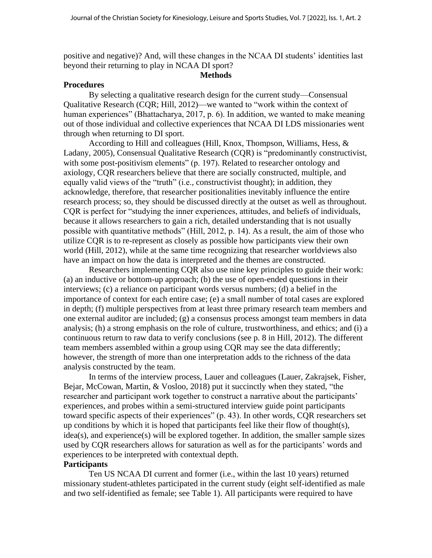positive and negative)? And, will these changes in the NCAA DI students' identities last beyond their returning to play in NCAA DI sport?

#### **Methods**

#### **Procedures**

By selecting a qualitative research design for the current study—Consensual Qualitative Research (CQR; Hill, 2012)—we wanted to "work within the context of human experiences" (Bhattacharya, 2017, p. 6). In addition, we wanted to make meaning out of those individual and collective experiences that NCAA DI LDS missionaries went through when returning to DI sport.

According to Hill and colleagues (Hill, Knox, Thompson, Williams, Hess, & Ladany, 2005), Consensual Qualitative Research (CQR) is "predominantly constructivist, with some post-positivism elements" (p. 197). Related to researcher ontology and axiology, CQR researchers believe that there are socially constructed, multiple, and equally valid views of the "truth" (i.e., constructivist thought); in addition, they acknowledge, therefore, that researcher positionalities inevitably influence the entire research process; so, they should be discussed directly at the outset as well as throughout. CQR is perfect for "studying the inner experiences, attitudes, and beliefs of individuals, because it allows researchers to gain a rich, detailed understanding that is not usually possible with quantitative methods" (Hill, 2012, p. 14). As a result, the aim of those who utilize CQR is to re-represent as closely as possible how participants view their own world (Hill, 2012), while at the same time recognizing that researcher worldviews also have an impact on how the data is interpreted and the themes are constructed.

Researchers implementing CQR also use nine key principles to guide their work: (a) an inductive or bottom-up approach; (b) the use of open-ended questions in their interviews; (c) a reliance on participant words versus numbers; (d) a belief in the importance of context for each entire case; (e) a small number of total cases are explored in depth; (f) multiple perspectives from at least three primary research team members and one external auditor are included; (g) a consensus process amongst team members in data analysis; (h) a strong emphasis on the role of culture, trustworthiness, and ethics; and (i) a continuous return to raw data to verify conclusions (see p. 8 in Hill, 2012). The different team members assembled within a group using CQR may see the data differently; however, the strength of more than one interpretation adds to the richness of the data analysis constructed by the team.

In terms of the interview process, Lauer and colleagues (Lauer, Zakrajsek, Fisher, Bejar, McCowan, Martin, & Vosloo, 2018) put it succinctly when they stated, "the researcher and participant work together to construct a narrative about the participants' experiences, and probes within a semi-structured interview guide point participants toward specific aspects of their experiences" (p. 43). In other words, CQR researchers set up conditions by which it is hoped that participants feel like their flow of thought(s), idea(s), and experience(s) will be explored together. In addition, the smaller sample sizes used by CQR researchers allows for saturation as well as for the participants' words and experiences to be interpreted with contextual depth.

## **Participants**

Ten US NCAA DI current and former (i.e., within the last 10 years) returned missionary student-athletes participated in the current study (eight self-identified as male and two self-identified as female; see Table 1). All participants were required to have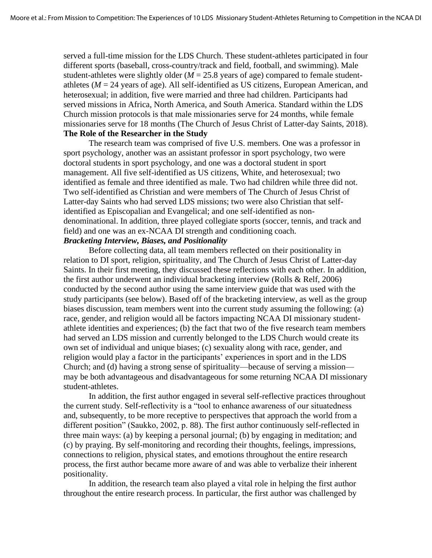served a full-time mission for the LDS Church. These student-athletes participated in four different sports (baseball, cross-country/track and field, football, and swimming). Male student-athletes were slightly older  $(M = 25.8$  years of age) compared to female studentathletes ( $M = 24$  years of age). All self-identified as US citizens, European American, and heterosexual; in addition, five were married and three had children. Participants had served missions in Africa, North America, and South America. Standard within the LDS Church mission protocols is that male missionaries serve for 24 months, while female missionaries serve for 18 months (The Church of Jesus Christ of Latter-day Saints, 2018). **The Role of the Researcher in the Study**

The research team was comprised of five U.S. members. One was a professor in sport psychology, another was an assistant professor in sport psychology, two were doctoral students in sport psychology, and one was a doctoral student in sport management. All five self-identified as US citizens, White, and heterosexual; two identified as female and three identified as male. Two had children while three did not. Two self-identified as Christian and were members of The Church of Jesus Christ of Latter-day Saints who had served LDS missions; two were also Christian that selfidentified as Episcopalian and Evangelical; and one self-identified as nondenominational. In addition, three played collegiate sports (soccer, tennis, and track and field) and one was an ex-NCAA DI strength and conditioning coach.

## *Bracketing Interview, Biases, and Positionality*

Before collecting data, all team members reflected on their positionality in relation to DI sport, religion, spirituality, and The Church of Jesus Christ of Latter-day Saints. In their first meeting, they discussed these reflections with each other. In addition, the first author underwent an individual bracketing interview (Rolls & Relf, 2006) conducted by the second author using the same interview guide that was used with the study participants (see below). Based off of the bracketing interview, as well as the group biases discussion, team members went into the current study assuming the following: (a) race, gender, and religion would all be factors impacting NCAA DI missionary studentathlete identities and experiences; (b) the fact that two of the five research team members had served an LDS mission and currently belonged to the LDS Church would create its own set of individual and unique biases; (c) sexuality along with race, gender, and religion would play a factor in the participants' experiences in sport and in the LDS Church; and (d) having a strong sense of spirituality—because of serving a mission may be both advantageous and disadvantageous for some returning NCAA DI missionary student-athletes.

In addition, the first author engaged in several self-reflective practices throughout the current study. Self-reflectivity is a "tool to enhance awareness of our situatedness and, subsequently, to be more receptive to perspectives that approach the world from a different position" (Saukko, 2002, p. 88). The first author continuously self-reflected in three main ways: (a) by keeping a personal journal; (b) by engaging in meditation; and (c) by praying. By self-monitoring and recording their thoughts, feelings, impressions, connections to religion, physical states, and emotions throughout the entire research process, the first author became more aware of and was able to verbalize their inherent positionality.

In addition, the research team also played a vital role in helping the first author throughout the entire research process. In particular, the first author was challenged by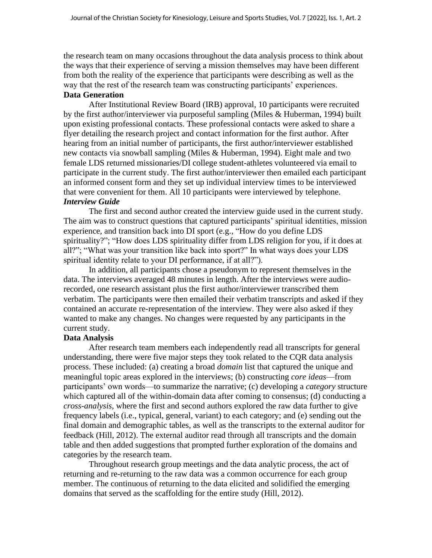the research team on many occasions throughout the data analysis process to think about the ways that their experience of serving a mission themselves may have been different from both the reality of the experience that participants were describing as well as the way that the rest of the research team was constructing participants' experiences. **Data Generation** 

After Institutional Review Board (IRB) approval, 10 participants were recruited by the first author/interviewer via purposeful sampling (Miles & Huberman, 1994) built upon existing professional contacts. These professional contacts were asked to share a flyer detailing the research project and contact information for the first author. After hearing from an initial number of participants, the first author/interviewer established new contacts via snowball sampling (Miles & Huberman, 1994). Eight male and two female LDS returned missionaries/DI college student-athletes volunteered via email to participate in the current study. The first author/interviewer then emailed each participant an informed consent form and they set up individual interview times to be interviewed that were convenient for them. All 10 participants were interviewed by telephone. *Interview Guide*

The first and second author created the interview guide used in the current study. The aim was to construct questions that captured participants' spiritual identities, mission experience, and transition back into DI sport (e.g., "How do you define LDS spirituality?"; "How does LDS spirituality differ from LDS religion for you, if it does at all?"; "What was your transition like back into sport?" In what ways does your LDS spiritual identity relate to your DI performance, if at all?").

In addition, all participants chose a pseudonym to represent themselves in the data. The interviews averaged 48 minutes in length. After the interviews were audiorecorded, one research assistant plus the first author/interviewer transcribed them verbatim. The participants were then emailed their verbatim transcripts and asked if they contained an accurate re-representation of the interview. They were also asked if they wanted to make any changes. No changes were requested by any participants in the current study.

#### **Data Analysis**

After research team members each independently read all transcripts for general understanding, there were five major steps they took related to the CQR data analysis process. These included: (a) creating a broad *domain* list that captured the unique and meaningful topic areas explored in the interviews; (b) constructing *core ideas*—from participants' own words—to summarize the narrative; (c) developing a *category* structure which captured all of the within-domain data after coming to consensus; (d) conducting a *cross-analysis*, where the first and second authors explored the raw data further to give frequency labels (i.e., typical, general, variant) to each category; and (e) sending out the final domain and demographic tables, as well as the transcripts to the external auditor for feedback (Hill, 2012). The external auditor read through all transcripts and the domain table and then added suggestions that prompted further exploration of the domains and categories by the research team.

Throughout research group meetings and the data analytic process, the act of returning and re-returning to the raw data was a common occurrence for each group member. The continuous of returning to the data elicited and solidified the emerging domains that served as the scaffolding for the entire study (Hill, 2012).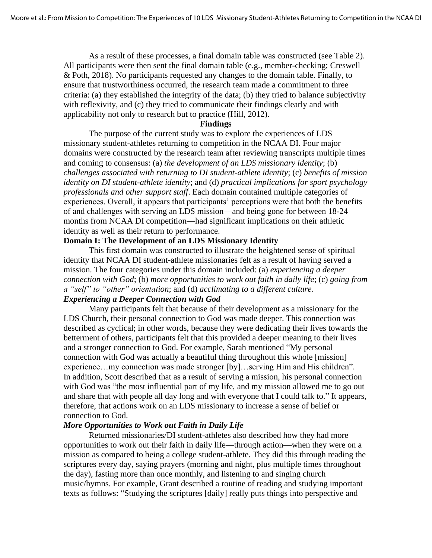As a result of these processes, a final domain table was constructed (see Table 2). All participants were then sent the final domain table (e.g., member-checking; Creswell & Poth, 2018). No participants requested any changes to the domain table. Finally, to ensure that trustworthiness occurred, the research team made a commitment to three criteria: (a) they established the integrity of the data; (b) they tried to balance subjectivity with reflexivity, and (c) they tried to communicate their findings clearly and with applicability not only to research but to practice (Hill, 2012).

#### **Findings**

The purpose of the current study was to explore the experiences of LDS missionary student-athletes returning to competition in the NCAA DI. Four major domains were constructed by the research team after reviewing transcripts multiple times and coming to consensus: (a) *the development of an LDS missionary identity*; (b) *challenges associated with returning to DI student-athlete identity*; (c) *benefits of mission identity on DI student-athlete identity*; and (d) *practical implications for sport psychology professionals and other support staff*. Each domain contained multiple categories of experiences. Overall, it appears that participants' perceptions were that both the benefits of and challenges with serving an LDS mission—and being gone for between 18-24 months from NCAA DI competition—had significant implications on their athletic identity as well as their return to performance.

### **Domain I: The Development of an LDS Missionary Identity**

This first domain was constructed to illustrate the heightened sense of spiritual identity that NCAA DI student-athlete missionaries felt as a result of having served a mission. The four categories under this domain included: (a) *experiencing a deeper connection with God*; (b) *more opportunities to work out faith in daily life*; (c) *going from a "self" to "other" orientation*; and (d) *acclimating to a different culture. Experiencing a Deeper Connection with God*

Many participants felt that because of their development as a missionary for the LDS Church, their personal connection to God was made deeper. This connection was described as cyclical; in other words, because they were dedicating their lives towards the betterment of others, participants felt that this provided a deeper meaning to their lives and a stronger connection to God. For example, Sarah mentioned "My personal connection with God was actually a beautiful thing throughout this whole [mission] experience…my connection was made stronger [by]…serving Him and His children". In addition, Scott described that as a result of serving a mission, his personal connection with God was "the most influential part of my life, and my mission allowed me to go out and share that with people all day long and with everyone that I could talk to." It appears, therefore, that actions work on an LDS missionary to increase a sense of belief or connection to God.

#### *More Opportunities to Work out Faith in Daily Life*

Returned missionaries/DI student-athletes also described how they had more opportunities to work out their faith in daily life—through action—when they were on a mission as compared to being a college student-athlete. They did this through reading the scriptures every day, saying prayers (morning and night, plus multiple times throughout the day), fasting more than once monthly, and listening to and singing church music/hymns. For example, Grant described a routine of reading and studying important texts as follows: "Studying the scriptures [daily] really puts things into perspective and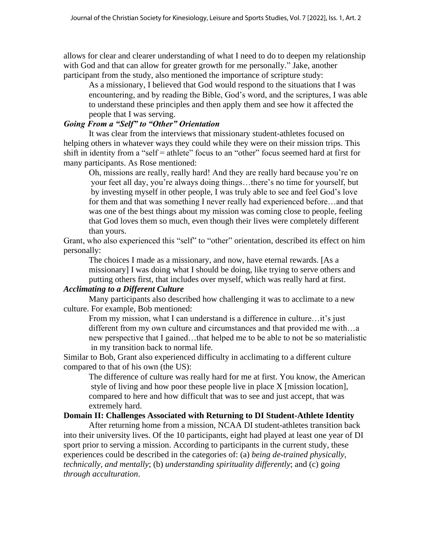allows for clear and clearer understanding of what I need to do to deepen my relationship with God and that can allow for greater growth for me personally." Jake, another participant from the study, also mentioned the importance of scripture study:

As a missionary, I believed that God would respond to the situations that I was encountering, and by reading the Bible, God's word, and the scriptures, I was able to understand these principles and then apply them and see how it affected the people that I was serving.

## *Going From a "Self" to "Other" Orientation*

It was clear from the interviews that missionary student-athletes focused on helping others in whatever ways they could while they were on their mission trips. This shift in identity from a "self = athlete" focus to an "other" focus seemed hard at first for many participants. As Rose mentioned:

Oh, missions are really, really hard! And they are really hard because you're on your feet all day, you're always doing things…there's no time for yourself, but by investing myself in other people, I was truly able to see and feel God's love for them and that was something I never really had experienced before…and that was one of the best things about my mission was coming close to people, feeling that God loves them so much, even though their lives were completely different than yours.

Grant, who also experienced this "self" to "other" orientation, described its effect on him personally:

The choices I made as a missionary, and now, have eternal rewards. [As a missionary] I was doing what I should be doing, like trying to serve others and putting others first, that includes over myself, which was really hard at first.

## *Acclimating to a Different Culture*

Many participants also described how challenging it was to acclimate to a new culture. For example, Bob mentioned:

From my mission, what I can understand is a difference in culture...it's just different from my own culture and circumstances and that provided me with…a new perspective that I gained…that helped me to be able to not be so materialistic in my transition back to normal life.

Similar to Bob, Grant also experienced difficulty in acclimating to a different culture compared to that of his own (the US):

The difference of culture was really hard for me at first. You know, the American style of living and how poor these people live in place X [mission location], compared to here and how difficult that was to see and just accept, that was extremely hard.

#### **Domain II: Challenges Associated with Returning to DI Student-Athlete Identity**

After returning home from a mission, NCAA DI student-athletes transition back into their university lives. Of the 10 participants, eight had played at least one year of DI sport prior to serving a mission. According to participants in the current study, these experiences could be described in the categories of: (a) *being de-trained physically, technically, and mentally*; (b) *understanding spirituality differently*; and (c) g*oing through acculturation*.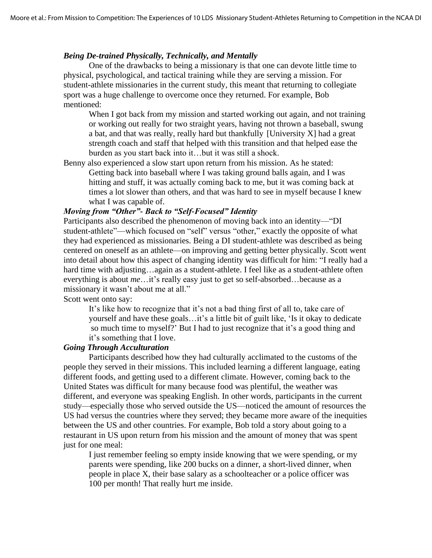## *Being De-trained Physically, Technically, and Mentally*

One of the drawbacks to being a missionary is that one can devote little time to physical, psychological, and tactical training while they are serving a mission. For student-athlete missionaries in the current study, this meant that returning to collegiate sport was a huge challenge to overcome once they returned. For example, Bob mentioned:

When I got back from my mission and started working out again, and not training or working out really for two straight years, having not thrown a baseball, swung a bat, and that was really, really hard but thankfully [University X] had a great strength coach and staff that helped with this transition and that helped ease the burden as you start back into it…but it was still a shock.

Benny also experienced a slow start upon return from his mission. As he stated: Getting back into baseball where I was taking ground balls again, and I was hitting and stuff, it was actually coming back to me, but it was coming back at times a lot slower than others, and that was hard to see in myself because I knew what I was capable of.

## *Moving from "Other"- Back to "Self-Focused" Identity*

Participants also described the phenomenon of moving back into an identity—"DI student-athlete"—which focused on "self" versus "other," exactly the opposite of what they had experienced as missionaries. Being a DI student-athlete was described as being centered on oneself as an athlete—on improving and getting better physically. Scott went into detail about how this aspect of changing identity was difficult for him: "I really had a hard time with adjusting...again as a student-athlete. I feel like as a student-athlete often everything is about *me*…it's really easy just to get so self-absorbed…because as a missionary it wasn't about me at all."

Scott went onto say:

It's like how to recognize that it's not a bad thing first of all to, take care of yourself and have these goals…it's a little bit of guilt like, 'Is it okay to dedicate so much time to myself?' But I had to just recognize that it's a good thing and it's something that I love.

#### *Going Through Acculturation*

Participants described how they had culturally acclimated to the customs of the people they served in their missions. This included learning a different language, eating different foods, and getting used to a different climate. However, coming back to the United States was difficult for many because food was plentiful, the weather was different, and everyone was speaking English. In other words, participants in the current study—especially those who served outside the US—noticed the amount of resources the US had versus the countries where they served; they became more aware of the inequities between the US and other countries. For example, Bob told a story about going to a restaurant in US upon return from his mission and the amount of money that was spent just for one meal:

I just remember feeling so empty inside knowing that we were spending, or my parents were spending, like 200 bucks on a dinner, a short-lived dinner, when people in place X, their base salary as a schoolteacher or a police officer was 100 per month! That really hurt me inside.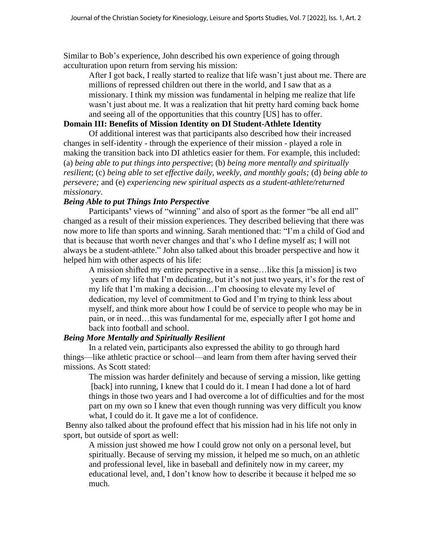Similar to Bob's experience, John described his own experience of going through acculturation upon return from serving his mission:

After I got back, I really started to realize that life wasn't just about me. There are millions of repressed children out there in the world, and I saw that as a missionary. I think my mission was fundamental in helping me realize that life wasn't just about me. It was a realization that hit pretty hard coming back home and seeing all of the opportunities that this country [US] has to offer.

## **Domain III: Benefits of Mission Identity on DI Student-Athlete Identity**

Of additional interest was that participants also described how their increased changes in self-identity - through the experience of their mission - played a role in making the transition back into DI athletics easier for them. For example, this included: (a) *being able to put things into perspective*; (b) *being more mentally and spiritually resilient*; (c) *being able to set effective daily, weekly, and monthly goals;* (d) *being able to persevere;* and (e) *experiencing new spiritual aspects as a student-athlete/returned missionary*.

### *Being Able to put Things Into Perspective*

Participants' views of "winning" and also of sport as the former "be all end all" changed as a result of their mission experiences. They described believing that there was now more to life than sports and winning. Sarah mentioned that: "I'm a child of God and that is because that worth never changes and that's who I define myself as; I will not always be a student-athlete." John also talked about this broader perspective and how it helped him with other aspects of his life:

A mission shifted my entire perspective in a sense…like this [a mission] is two years of my life that I'm dedicating, but it's not just two years, it's for the rest of my life that I'm making a decision…I'm choosing to elevate my level of dedication, my level of commitment to God and I'm trying to think less about myself, and think more about how I could be of service to people who may be in pain, or in need…this was fundamental for me, especially after I got home and back into football and school.

#### *Being More Mentally and Spiritually Resilient*

In a related vein, participants also expressed the ability to go through hard things—like athletic practice or school—and learn from them after having served their missions. As Scott stated:

The mission was harder definitely and because of serving a mission, like getting [back] into running, I knew that I could do it. I mean I had done a lot of hard things in those two years and I had overcome a lot of difficulties and for the most part on my own so I knew that even though running was very difficult you know what, I could do it. It gave me a lot of confidence.

Benny also talked about the profound effect that his mission had in his life not only in sport, but outside of sport as well:

A mission just showed me how I could grow not only on a personal level, but spiritually. Because of serving my mission, it helped me so much, on an athletic and professional level, like in baseball and definitely now in my career, my educational level, and, I don't know how to describe it because it helped me so much.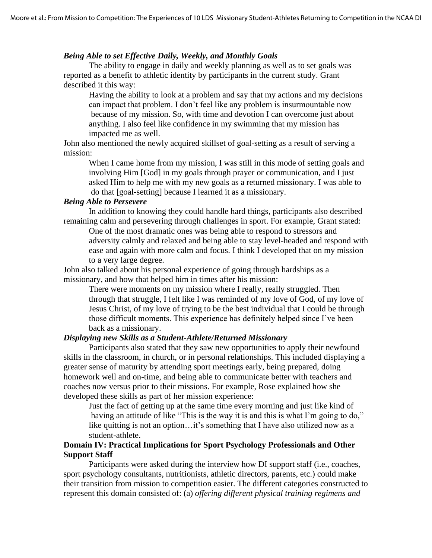#### *Being Able to set Effective Daily, Weekly, and Monthly Goals*

The ability to engage in daily and weekly planning as well as to set goals was reported as a benefit to athletic identity by participants in the current study. Grant described it this way:

Having the ability to look at a problem and say that my actions and my decisions can impact that problem. I don't feel like any problem is insurmountable now because of my mission. So, with time and devotion I can overcome just about anything. I also feel like confidence in my swimming that my mission has impacted me as well.

John also mentioned the newly acquired skillset of goal-setting as a result of serving a mission:

When I came home from my mission, I was still in this mode of setting goals and involving Him [God] in my goals through prayer or communication, and I just asked Him to help me with my new goals as a returned missionary. I was able to do that [goal-setting] because I learned it as a missionary.

## *Being Able to Persevere*

In addition to knowing they could handle hard things, participants also described remaining calm and persevering through challenges in sport. For example, Grant stated: One of the most dramatic ones was being able to respond to stressors and

adversity calmly and relaxed and being able to stay level-headed and respond with ease and again with more calm and focus. I think I developed that on my mission to a very large degree.

John also talked about his personal experience of going through hardships as a missionary, and how that helped him in times after his mission:

There were moments on my mission where I really, really struggled. Then through that struggle, I felt like I was reminded of my love of God, of my love of Jesus Christ, of my love of trying to be the best individual that I could be through those difficult moments. This experience has definitely helped since I've been back as a missionary.

## *Displaying new Skills as a Student-Athlete/Returned Missionary*

Participants also stated that they saw new opportunities to apply their newfound skills in the classroom, in church, or in personal relationships. This included displaying a greater sense of maturity by attending sport meetings early, being prepared, doing homework well and on-time, and being able to communicate better with teachers and coaches now versus prior to their missions. For example, Rose explained how she developed these skills as part of her mission experience:

Just the fact of getting up at the same time every morning and just like kind of having an attitude of like "This is the way it is and this is what I'm going to do," like quitting is not an option…it's something that I have also utilized now as a student-athlete.

#### **Domain IV: Practical Implications for Sport Psychology Professionals and Other Support Staff**

Participants were asked during the interview how DI support staff (i.e., coaches, sport psychology consultants, nutritionists, athletic directors, parents, etc.) could make their transition from mission to competition easier. The different categories constructed to represent this domain consisted of: (a) *offering different physical training regimens and*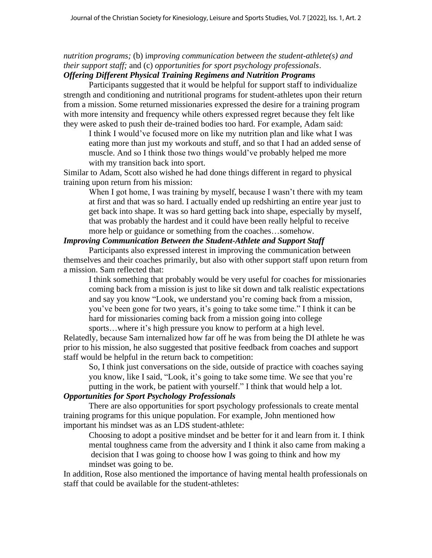*nutrition programs;* (b) i*mproving communication between the student-athlete(s) and their support staff;* and (c) *opportunities for sport psychology professionals*.

## *Offering Different Physical Training Regimens and Nutrition Programs*

Participants suggested that it would be helpful for support staff to individualize strength and conditioning and nutritional programs for student-athletes upon their return from a mission. Some returned missionaries expressed the desire for a training program with more intensity and frequency while others expressed regret because they felt like they were asked to push their de-trained bodies too hard. For example, Adam said:

I think I would've focused more on like my nutrition plan and like what I was eating more than just my workouts and stuff, and so that I had an added sense of muscle. And so I think those two things would've probably helped me more with my transition back into sport.

Similar to Adam, Scott also wished he had done things different in regard to physical training upon return from his mission:

When I got home, I was training by myself, because I wasn't there with my team at first and that was so hard. I actually ended up redshirting an entire year just to get back into shape. It was so hard getting back into shape, especially by myself, that was probably the hardest and it could have been really helpful to receive more help or guidance or something from the coaches…somehow.

## *Improving Communication Between the Student-Athlete and Support Staff*

Participants also expressed interest in improving the communication between themselves and their coaches primarily, but also with other support staff upon return from a mission. Sam reflected that:

I think something that probably would be very useful for coaches for missionaries coming back from a mission is just to like sit down and talk realistic expectations and say you know "Look, we understand you're coming back from a mission, you've been gone for two years, it's going to take some time." I think it can be hard for missionaries coming back from a mission going into college sports...where it's high pressure you know to perform at a high level.

Relatedly, because Sam internalized how far off he was from being the DI athlete he was prior to his mission, he also suggested that positive feedback from coaches and support staff would be helpful in the return back to competition:

So, I think just conversations on the side, outside of practice with coaches saying you know, like I said, "Look, it's going to take some time. We see that you're putting in the work, be patient with yourself." I think that would help a lot.

## *Opportunities for Sport Psychology Professionals*

There are also opportunities for sport psychology professionals to create mental training programs for this unique population. For example, John mentioned how important his mindset was as an LDS student-athlete:

Choosing to adopt a positive mindset and be better for it and learn from it. I think mental toughness came from the adversity and I think it also came from making a decision that I was going to choose how I was going to think and how my mindset was going to be.

In addition, Rose also mentioned the importance of having mental health professionals on staff that could be available for the student-athletes: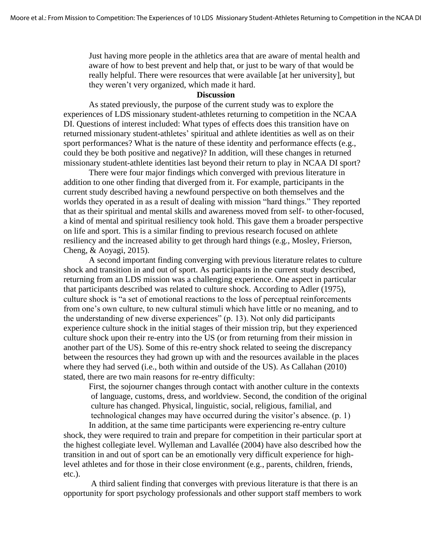Just having more people in the athletics area that are aware of mental health and aware of how to best prevent and help that, or just to be wary of that would be really helpful. There were resources that were available [at her university], but they weren't very organized, which made it hard.

#### **Discussion**

As stated previously, the purpose of the current study was to explore the experiences of LDS missionary student-athletes returning to competition in the NCAA DI. Questions of interest included: What types of effects does this transition have on returned missionary student-athletes' spiritual and athlete identities as well as on their sport performances? What is the nature of these identity and performance effects (e.g., could they be both positive and negative)? In addition, will these changes in returned missionary student-athlete identities last beyond their return to play in NCAA DI sport?

There were four major findings which converged with previous literature in addition to one other finding that diverged from it. For example, participants in the current study described having a newfound perspective on both themselves and the worlds they operated in as a result of dealing with mission "hard things." They reported that as their spiritual and mental skills and awareness moved from self- to other-focused, a kind of mental and spiritual resiliency took hold. This gave them a broader perspective on life and sport. This is a similar finding to previous research focused on athlete resiliency and the increased ability to get through hard things (e.g., Mosley, Frierson, Cheng, & Aoyagi, 2015).

A second important finding converging with previous literature relates to culture shock and transition in and out of sport. As participants in the current study described, returning from an LDS mission was a challenging experience. One aspect in particular that participants described was related to culture shock. According to Adler (1975), culture shock is "a set of emotional reactions to the loss of perceptual reinforcements from one's own culture, to new cultural stimuli which have little or no meaning, and to the understanding of new diverse experiences" (p. 13). Not only did participants experience culture shock in the initial stages of their mission trip, but they experienced culture shock upon their re-entry into the US (or from returning from their mission in another part of the US). Some of this re-entry shock related to seeing the discrepancy between the resources they had grown up with and the resources available in the places where they had served (i.e., both within and outside of the US). As Callahan (2010) stated, there are two main reasons for re-entry difficulty:

First, the sojourner changes through contact with another culture in the contexts of language, customs, dress, and worldview. Second, the condition of the original culture has changed. Physical, linguistic, social, religious, familial, and technological changes may have occurred during the visitor's absence. (p. 1)

In addition, at the same time participants were experiencing re-entry culture shock, they were required to train and prepare for competition in their particular sport at the highest collegiate level. Wylleman and Lavallée (2004) have also described how the transition in and out of sport can be an emotionally very difficult experience for highlevel athletes and for those in their close environment (e.g., parents, children, friends, etc.).

A third salient finding that converges with previous literature is that there is an opportunity for sport psychology professionals and other support staff members to work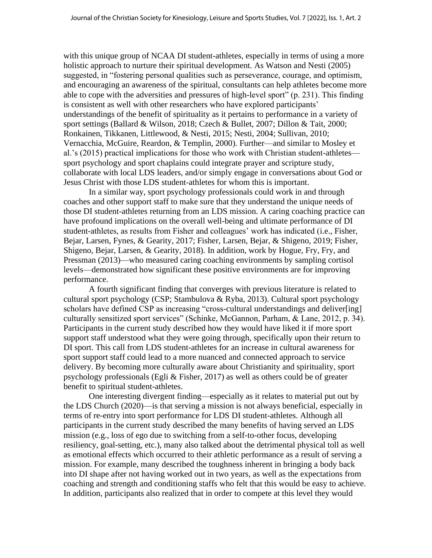with this unique group of NCAA DI student-athletes, especially in terms of using a more holistic approach to nurture their spiritual development. As Watson and Nesti (2005) suggested, in "fostering personal qualities such as perseverance, courage, and optimism, and encouraging an awareness of the spiritual, consultants can help athletes become more able to cope with the adversities and pressures of high-level sport" (p. 231). This finding is consistent as well with other researchers who have explored participants' understandings of the benefit of spirituality as it pertains to performance in a variety of sport settings (Ballard & Wilson, 2018; Czech & Bullet, 2007; Dillon & Tait, 2000; Ronkainen, Tikkanen, Littlewood, & Nesti, 2015; Nesti, 2004; Sullivan, 2010; Vernacchia, McGuire, Reardon, & Templin, 2000). Further—and similar to Mosley et al.'s (2015) practical implications for those who work with Christian student-athletes sport psychology and sport chaplains could integrate prayer and scripture study, collaborate with local LDS leaders, and/or simply engage in conversations about God or Jesus Christ with those LDS student-athletes for whom this is important.

In a similar way, sport psychology professionals could work in and through coaches and other support staff to make sure that they understand the unique needs of those DI student-athletes returning from an LDS mission. A caring coaching practice can have profound implications on the overall well-being and ultimate performance of DI student-athletes, as results from Fisher and colleagues' work has indicated (i.e., Fisher, Bejar, Larsen, Fynes, & Gearity, 2017; Fisher, Larsen, Bejar, & Shigeno, 2019; Fisher, Shigeno, Bejar, Larsen, & Gearity, 2018). In addition, work by Hogue, Fry, Fry, and Pressman (2013)—who measured caring coaching environments by sampling cortisol levels—demonstrated how significant these positive environments are for improving performance.

A fourth significant finding that converges with previous literature is related to cultural sport psychology (CSP; Stambulova & Ryba, 2013). Cultural sport psychology scholars have defined CSP as increasing "cross-cultural understandings and deliver[ing] culturally sensitized sport services" (Schinke, McGannon, Parham, & Lane, 2012, p. 34). Participants in the current study described how they would have liked it if more sport support staff understood what they were going through, specifically upon their return to DI sport. This call from LDS student-athletes for an increase in cultural awareness for sport support staff could lead to a more nuanced and connected approach to service delivery. By becoming more culturally aware about Christianity and spirituality, sport psychology professionals (Egli & Fisher, 2017) as well as others could be of greater benefit to spiritual student-athletes.

One interesting divergent finding—especially as it relates to material put out by the LDS Church (2020)—is that serving a mission is not always beneficial, especially in terms of re-entry into sport performance for LDS DI student-athletes. Although all participants in the current study described the many benefits of having served an LDS mission (e.g., loss of ego due to switching from a self-to-other focus, developing resiliency, goal-setting, etc.), many also talked about the detrimental physical toll as well as emotional effects which occurred to their athletic performance as a result of serving a mission. For example, many described the toughness inherent in bringing a body back into DI shape after not having worked out in two years, as well as the expectations from coaching and strength and conditioning staffs who felt that this would be easy to achieve. In addition, participants also realized that in order to compete at this level they would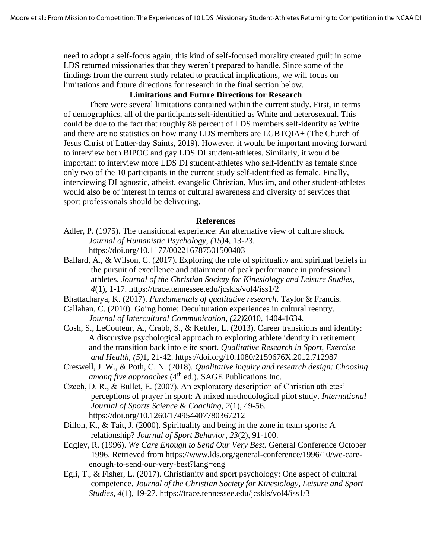need to adopt a self-focus again; this kind of self-focused morality created guilt in some LDS returned missionaries that they weren't prepared to handle. Since some of the findings from the current study related to practical implications, we will focus on limitations and future directions for research in the final section below.

## **Limitations and Future Directions for Research**

There were several limitations contained within the current study. First, in terms of demographics, all of the participants self-identified as White and heterosexual. This could be due to the fact that roughly 86 percent of LDS members self-identify as White and there are no statistics on how many LDS members are LGBTQIA+ (The Church of Jesus Christ of Latter-day Saints, 2019). However, it would be important moving forward to interview both BIPOC and gay LDS DI student-athletes. Similarly, it would be important to interview more LDS DI student-athletes who self-identify as female since only two of the 10 participants in the current study self-identified as female. Finally, interviewing DI agnostic, atheist, evangelic Christian, Muslim, and other student-athletes would also be of interest in terms of cultural awareness and diversity of services that sport professionals should be delivering.

#### **References**

- Adler, P. (1975). The transitional experience: An alternative view of culture shock. *Journal of Humanistic Psychology, (15)*4, 13-23. https://doi.org/10.1177/002216787501500403
- Ballard, A., & Wilson, C. (2017). Exploring the role of spirituality and spiritual beliefs in the pursuit of excellence and attainment of peak performance in professional athletes. *Journal of the Christian Society for Kinesiology and Leisure Studies, 4*(1), 1-17. https://trace.tennessee.edu/jcskls/vol4/iss1/2
- Bhattacharya, K. (2017). *Fundamentals of qualitative research.* Taylor & Francis.
- Callahan, C. (2010). Going home: Deculturation experiences in cultural reentry. *Journal of Intercultural Communication, (22)*2010, 1404-1634.
- Cosh, S., LeCouteur, A., Crabb, S., & Kettler, L. (2013). Career transitions and identity: A discursive psychological approach to exploring athlete identity in retirement and the transition back into elite sport. *Qualitative Research in Sport, Exercise and Health, (5)*1, 21-42. https://doi.org/10.1080/2159676X.2012.712987
- Creswell, J. W., & Poth, C. N. (2018). *Qualitative inquiry and research design: Choosing among five approaches* (4<sup>th</sup> ed.). SAGE Publications Inc.
- Czech, D. R., & Bullet, E. (2007). An exploratory description of Christian athletes' perceptions of prayer in sport: A mixed methodological pilot study. *International Journal of Sports Science & Coaching, 2*(1), 49-56. https://doi.org/10.1260/174954407780367212
- Dillon, K., & Tait, J. (2000). Spirituality and being in the zone in team sports: A relationship? *Journal of Sport Behavior, 23*(2), 91-100.
- Edgley, R. (1996). *We Care Enough to Send Our Very Best.* General Conference October 1996. Retrieved from https://www.lds.org/general-conference/1996/10/we-careenough-to-send-our-very-best?lang=eng
- Egli, T., & Fisher, L. (2017). Christianity and sport psychology: One aspect of cultural competence. *Journal of the Christian Society for Kinesiology, Leisure and Sport Studies, 4*(1), 19-27. https://trace.tennessee.edu/jcskls/vol4/iss1/3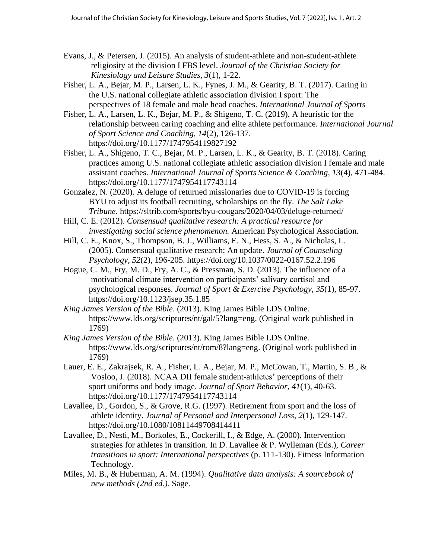- Evans, J., & Petersen, J. (2015). An analysis of student-athlete and non-student-athlete religiosity at the division I FBS level. *Journal of the Christian Society for Kinesiology and Leisure Studies, 3*(1), 1-22.
- Fisher, L. A., Bejar, M. P., Larsen, L. K., Fynes, J. M., & Gearity, B. T. (2017). Caring in the U.S. national collegiate athletic association division I sport: The perspectives of 18 female and male head coaches. *International Journal of Sports*
- Fisher, L. A., Larsen, L. K., Bejar, M. P., & Shigeno, T. C. (2019). A heuristic for the relationship between caring coaching and elite athlete performance. *International Journal of Sport Science and Coaching, 14*(2), 126-137. https://doi.org/10.1177/1747954119827192
- Fisher, L. A., Shigeno, T. C., Bejar, M. P., Larsen, L. K., & Gearity, B. T. (2018). Caring practices among U.S. national collegiate athletic association division I female and male assistant coaches. *International Journal of Sports Science & Coaching, 13*(4), 471-484. https://doi.org/10.1177/1747954117743114
- Gonzalez, N. (2020). A deluge of returned missionaries due to COVID-19 is forcing BYU to adjust its football recruiting, scholarships on the fly. *The Salt Lake Tribune*. https://sltrib.com/sports/byu-cougars/2020/04/03/deluge-returned/
- Hill, C. E. (2012). *Consensual qualitative research: A practical resource for investigating social science phenomenon.* American Psychological Association.
- Hill, C. E., Knox, S., Thompson, B. J., Williams, E. N., Hess, S. A., & Nicholas, L. (2005). Consensual qualitative research: An update. *Journal of Counseling Psychology, 52*(2), 196-205. https://doi.org/10.1037/0022-0167.52.2.196
- Hogue, C. M., Fry, M. D., Fry, A. C., & Pressman, S. D. (2013). The influence of a motivational climate intervention on participants' salivary cortisol and psychological responses. *Journal of Sport & Exercise Psychology, 35*(1), 85-97. https://doi.org/10.1123/jsep.35.1.85
- *King James Version of the Bible*. (2013). King James Bible LDS Online. https://www.lds.org/scriptures/nt/gal/5?lang=eng. (Original work published in 1769)
- *King James Version of the Bible*. (2013). King James Bible LDS Online. https://www.lds.org/scriptures/nt/rom/8?lang=eng. (Original work published in 1769)
- Lauer, E. E., Zakrajsek, R. A., Fisher, L. A., Bejar, M. P., McCowan, T., Martin, S. B., & Vosloo, J. (2018). NCAA DII female student-athletes' perceptions of their sport uniforms and body image. *Journal of Sport Behavior, 41*(1), 40-63. https://doi.org/10.1177/1747954117743114
- Lavallee, D., Gordon, S., & Grove, R.G. (1997). Retirement from sport and the loss of athlete identity. *Journal of Personal and Interpersonal Loss, 2*(1), 129-147. https://doi.org/10.1080/10811449708414411
- Lavallee, D., Nesti, M., Borkoles, E., Cockerill, I., & Edge, A. (2000). Intervention strategies for athletes in transition. In D. Lavallee & P. Wylleman (Eds.), *Career transitions in sport: International perspectives* (p. 111-130). Fitness Information Technology.
- Miles, M. B., & Huberman, A. M. (1994). *Qualitative data analysis: A sourcebook of new methods (2nd ed.).* Sage.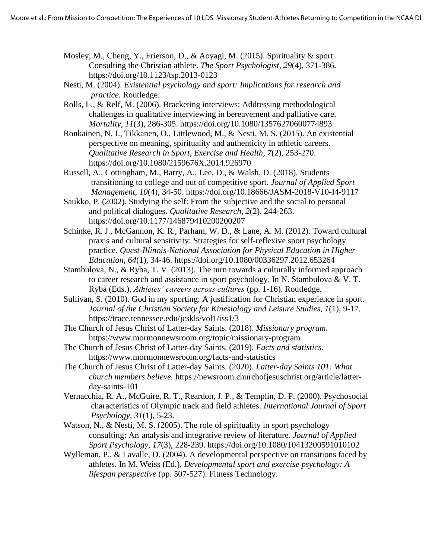- Mosley, M., Cheng, Y., Frierson, D., & Aoyagi, M. (2015). Spirituality & sport: Consulting the Christian athlete. *The Sport Psychologist, 29*(4), 371-386. https://doi.org/10.1123/tsp.2013-0123
- Nesti, M. (2004). *Existential psychology and sport: Implications for research and practice.* Routledge.
- Rolls, L., & Relf, M. (2006). Bracketing interviews: Addressing methodological challenges in qualitative interviewing in bereavement and palliative care. *Mortality, 11*(3), 286-305. https://doi.org/10.1080/13576270600774893
- Ronkainen, N. J., Tikkanen, O., Littlewood, M., & Nesti, M. S. (2015). An existential perspective on meaning, spirituality and authenticity in athletic careers. *Qualitative Research in Sport, Exercise and Health, 7*(2), 253-270. https://doi.org/10.1080/2159676X.2014.926970
- Russell, A., Cottingham, M., Barry, A., Lee, D., & Walsh, D. (2018). Students transitioning to college and out of competitive sport. *Journal of Applied Sport Management, 10*(4), 34-50. https://doi.org/10.18666/JASM-2018-V10-I4-9117
- Saukko, P. (2002). Studying the self: From the subjective and the social to personal and political dialogues. *Qualitative Research, 2*(2), 244-263. https://doi.org/10.1177/146879410200200207
- Schinke, R. J., McGannon, K. R., Parham, W. D., & Lane, A. M. (2012). Toward cultural praxis and cultural sensitivity: Strategies for self-reflexive sport psychology practice. *Quest-Illinois-National Association for Physical Education in Higher Education, 64*(1), 34-46. https://doi.org/10.1080/00336297.2012.653264
- Stambulova, N., & Ryba, T. V. (2013). The turn towards a culturally informed approach to career research and assistance in sport psychology. In N. Stambulova & V. T. Ryba (Eds.), *Athletes' careers across cultures* (pp. 1-16). Routledge.
- Sullivan, S. (2010). God in my sporting: A justification for Christian experience in sport. *Journal of the Christian Society for Kinesiology and Leisure Studies, 1*(1), 9-17. https://trace.tennessee.edu/jcskls/vol1/iss1/3
- The Church of Jesus Christ of Latter-day Saints. (2018). *Missionary program*. https://www.mormonnewsroom.org/topic/missionary-program
- The Church of Jesus Christ of Latter-day Saints. (2019). *Facts and statistics*. https://www.mormonnewsroom.org/facts-and-statistics
- The Church of Jesus Christ of Latter-day Saints. (2020). *Latter-day Saints 101: What church members believe.* https://newsroom.churchofjesuschrist.org/article/latterday-saints-101
- Vernacchia, R. A., McGuire, R. T., Reardon, J. P., & Templin, D. P. (2000). Psychosocial characteristics of Olympic track and field athletes. *International Journal of Sport Psychology, 31*(1), 5-23.
- Watson, N., & Nesti, M. S. (2005). The role of spirituality in sport psychology consulting: An analysis and integrative review of literature. *Journal of Applied Sport Psychology, 17*(3), 228-239. https://doi.org/10.1080/10413200591010102
- Wylleman, P., & Lavalle, D. (2004). A developmental perspective on transitions faced by athletes. In M. Weiss (Ed.), *Developmental sport and exercise psychology: A lifespan perspective* (pp. 507-527). Fitness Technology.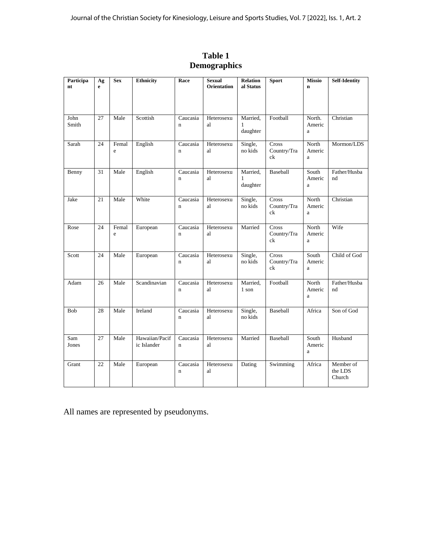| Participa<br>nt | Ag<br>e | Sex        | <b>Ethnicity</b>              | Race                     | <b>Sexual</b><br><b>Orientation</b> | <b>Relation</b><br>al Status         | <b>Sport</b>               | <b>Missio</b><br>$\mathbf n$    | <b>Self-Identity</b>           |
|-----------------|---------|------------|-------------------------------|--------------------------|-------------------------------------|--------------------------------------|----------------------------|---------------------------------|--------------------------------|
| John<br>Smith   | 27      | Male       | Scottish                      | Caucasia<br>$\mathbf{n}$ | Heterosexu<br>al                    | Married,<br>1<br>daughter            | Football                   | North.<br>Americ<br>a           | Christian                      |
| Sarah           | 24      | Femal<br>e | English                       | Caucasia<br>$\mathbf{n}$ | Heterosexu<br>al                    | Single,<br>no kids                   | Cross<br>Country/Tra<br>ck | North<br>Americ<br>a            | Mormon/LDS                     |
| Benny           | 31      | Male       | English                       | Caucasia<br>$\mathbf n$  | Heterosexu<br>al                    | Married,<br>$\mathbf{1}$<br>daughter | <b>Baseball</b>            | South<br>Americ<br>$\mathbf{a}$ | Father/Husba<br>nd             |
| Jake            | 21      | Male       | White                         | Caucasia<br>$\mathbf n$  | Heterosexu<br>al                    | Single,<br>no kids                   | Cross<br>Country/Tra<br>ck | North<br>Americ<br>a            | Christian                      |
| Rose            | 24      | Femal<br>e | European                      | Caucasia<br>$\mathbf n$  | Heterosexu<br>al                    | Married                              | Cross<br>Country/Tra<br>ck | North<br>Americ<br>$\mathbf{a}$ | Wife                           |
| Scott           | 24      | Male       | European                      | Caucasia<br>$\mathbf n$  | Heterosexu<br>al                    | Single,<br>no kids                   | Cross<br>Country/Tra<br>ck | South<br>Americ<br>a            | Child of God                   |
| Adam            | 26      | Male       | Scandinavian                  | Caucasia<br>$\mathbf n$  | Heterosexu<br>al                    | Married,<br>1 son                    | Football                   | North<br>Americ<br>a            | Father/Husba<br>nd             |
| Bob             | 28      | Male       | Ireland                       | Caucasia<br>$\mathbf n$  | Heterosexu<br>al                    | Single,<br>no kids                   | Baseball                   | Africa                          | Son of God                     |
| Sam<br>Jones    | 27      | Male       | Hawaiian/Pacif<br>ic Islander | Caucasia<br>$\mathbf n$  | Heterosexu<br>al                    | Married                              | <b>Baseball</b>            | South<br>Americ<br>a            | Husband                        |
| Grant           | 22      | Male       | European                      | Caucasia<br>$\mathbf n$  | Heterosexu<br>al                    | Dating                               | Swimming                   | Africa                          | Member of<br>the LDS<br>Church |

**Table 1 Demographics**

All names are represented by pseudonyms.